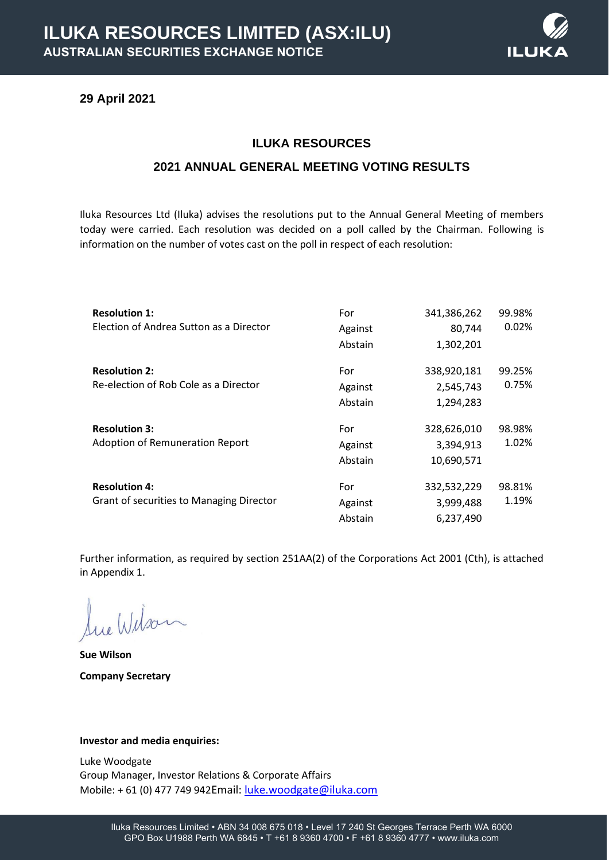## **29 April 2021**

## **ILUKA RESOURCES**

ILL

## **2021 ANNUAL GENERAL MEETING VOTING RESULTS**

Iluka Resources Ltd (Iluka) advises the resolutions put to the Annual General Meeting of members today were carried. Each resolution was decided on a poll called by the Chairman. Following is information on the number of votes cast on the poll in respect of each resolution:

| <b>Resolution 1:</b>                            | For     | 341,386,262 | 99.98% |
|-------------------------------------------------|---------|-------------|--------|
| Election of Andrea Sutton as a Director         | Against | 80,744      | 0.02%  |
|                                                 | Abstain | 1,302,201   |        |
| <b>Resolution 2:</b>                            | For     | 338,920,181 | 99.25% |
| Re-election of Rob Cole as a Director           | Against | 2,545,743   | 0.75%  |
|                                                 | Abstain | 1,294,283   |        |
| <b>Resolution 3:</b>                            | For     | 328,626,010 | 98.98% |
| <b>Adoption of Remuneration Report</b>          | Against | 3,394,913   | 1.02%  |
|                                                 | Abstain | 10,690,571  |        |
| <b>Resolution 4:</b>                            | For     | 332,532,229 | 98.81% |
| <b>Grant of securities to Managing Director</b> | Against | 3,999,488   | 1.19%  |
|                                                 | Abstain | 6,237,490   |        |

Further information, as required by section 251AA(2) of the Corporations Act 2001 (Cth), is attached in Appendix 1.

Sue Wilson

**Sue Wilson Company Secretary**

#### **Investor and media enquiries:**

Luke Woodgate Group Manager, Investor Relations & Corporate Affairs Mobile: + 61 (0) 477 749 942Email: [luke.woodgate@iluka.com](mailto:luke.woodgate@iluka.com)